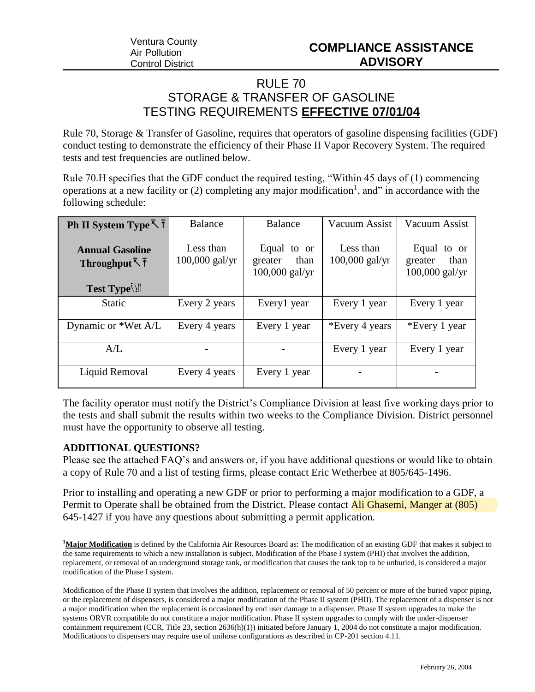## RULE 70 STORAGE & TRANSFER OF GASOLINE TESTING REQUIREMENTS **EFFECTIVE 07/01/04**

Rule 70, Storage & Transfer of Gasoline, requires that operators of gasoline dispensing facilities (GDF) conduct testing to demonstrate the efficiency of their Phase II Vapor Recovery System. The required tests and test frequencies are outlined below.

Rule 70.H specifies that the GDF conduct the required testing, "Within 45 days of (1) commencing operations at a new facility or  $(2)$  completing any major modification<sup>1</sup>, and" in accordance with the following schedule:

| <b>Ph</b> II System Type $\bar{\uparrow}$ $\bar{\uparrow}$ | Balance                       | Balance                                            | Vacuum Assist                 | Vacuum Assist                                      |
|------------------------------------------------------------|-------------------------------|----------------------------------------------------|-------------------------------|----------------------------------------------------|
| <b>Annual Gasoline</b><br>Throughput $\bar{L}$ T           | Less than<br>$100,000$ gal/yr | Equal to or<br>than<br>greater<br>$100,000$ gal/yr | Less than<br>$100,000$ gal/yr | Equal to or<br>than<br>greater<br>$100,000$ gal/yr |
| Test Type                                                  |                               |                                                    |                               |                                                    |
| <b>Static</b>                                              | Every 2 years                 | Every1 year                                        | Every 1 year                  | Every 1 year                                       |
| Dynamic or *Wet A/L                                        | Every 4 years                 | Every 1 year                                       | *Every 4 years                | *Every 1 year                                      |
| $A/I$ .                                                    |                               |                                                    | Every 1 year                  | Every 1 year                                       |
| Liquid Removal                                             | Every 4 years                 | Every 1 year                                       |                               |                                                    |

The facility operator must notify the District's Compliance Division at least five working days prior to the tests and shall submit the results within two weeks to the Compliance Division. District personnel must have the opportunity to observe all testing.

## **ADDITIONAL QUESTIONS?**

Please see the attached FAQ's and answers or, if you have additional questions or would like to obtain a copy of Rule 70 and a list of testing firms, please contact Eric Wetherbee at 805/645-1496.

Prior to installing and operating a new GDF or prior to performing a major modification to a GDF, a Permit to Operate shall be obtained from the District. Please contact Ali Ghasemi, Manger at (805) 645-1427 if you have any questions about submitting a permit application.

**<sup>1</sup>Major Modification** is defined by the California Air Resources Board as: The modification of an existing GDF that makes it subject to the same requirements to which a new installation is subject. Modification of the Phase I system (PHI) that involves the addition, replacement, or removal of an underground storage tank, or modification that causes the tank top to be unburied, is considered a major modification of the Phase I system.

Modification of the Phase II system that involves the addition, replacement or removal of 50 percent or more of the buried vapor piping, or the replacement of dispensers, is considered a major modification of the Phase II system (PHII). The replacement of a dispenser is not a major modification when the replacement is occasioned by end user damage to a dispenser. Phase II system upgrades to make the systems ORVR compatible do not constitute a major modification. Phase II system upgrades to comply with the under-dispenser containment requirement (CCR, Title 23, section 2636(h)(1)) initiated before January 1, 2004 do not constitute a major modification. Modifications to dispensers may require use of unihose configurations as described in CP-201 section 4.11.